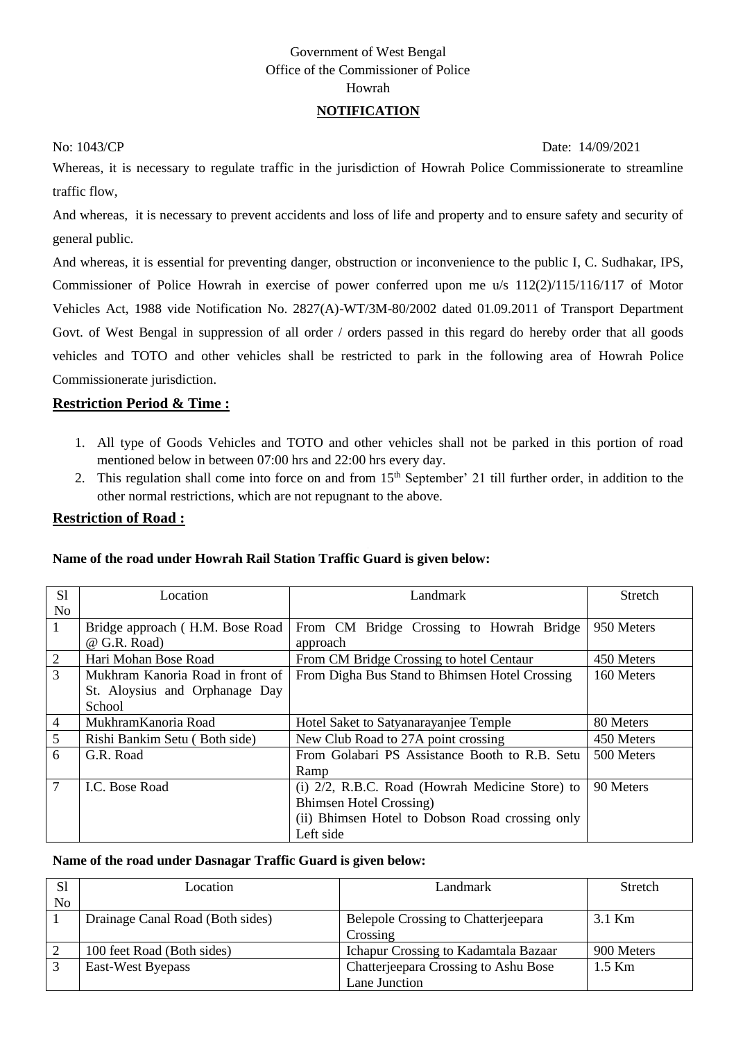# Government of West Bengal Office of the Commissioner of Police Howrah

### **NOTIFICATION**

No: 1043/CP Date: 14/09/2021

Whereas, it is necessary to regulate traffic in the jurisdiction of Howrah Police Commissionerate to streamline traffic flow,

And whereas, it is necessary to prevent accidents and loss of life and property and to ensure safety and security of general public.

And whereas, it is essential for preventing danger, obstruction or inconvenience to the public I, C. Sudhakar, IPS, Commissioner of Police Howrah in exercise of power conferred upon me u/s 112(2)/115/116/117 of Motor Vehicles Act, 1988 vide Notification No. 2827(A)-WT/3M-80/2002 dated 01.09.2011 of Transport Department Govt. of West Bengal in suppression of all order / orders passed in this regard do hereby order that all goods vehicles and TOTO and other vehicles shall be restricted to park in the following area of Howrah Police Commissionerate jurisdiction.

### **Restriction Period & Time :**

- 1. All type of Goods Vehicles and TOTO and other vehicles shall not be parked in this portion of road mentioned below in between 07:00 hrs and 22:00 hrs every day.
- 2. This regulation shall come into force on and from 15<sup>th</sup> September' 21 till further order, in addition to the other normal restrictions, which are not repugnant to the above.

### **Restriction of Road :**

### **Name of the road under Howrah Rail Station Traffic Guard is given below:**

| S <sub>1</sub>  | Location                         | Landmark                                        | Stretch    |
|-----------------|----------------------------------|-------------------------------------------------|------------|
| N <sub>o</sub>  |                                  |                                                 |            |
| $\mathbf{1}$    | Bridge approach (H.M. Bose Road  | From CM Bridge Crossing to Howrah Bridge        | 950 Meters |
|                 | @ G.R. Road)                     | approach                                        |            |
| 2               | Hari Mohan Bose Road             | From CM Bridge Crossing to hotel Centaur        | 450 Meters |
| $\overline{3}$  | Mukhram Kanoria Road in front of | From Digha Bus Stand to Bhimsen Hotel Crossing  | 160 Meters |
|                 | St. Aloysius and Orphanage Day   |                                                 |            |
|                 | School                           |                                                 |            |
| $\overline{4}$  | MukhramKanoria Road              | Hotel Saket to Satyanarayanjee Temple           | 80 Meters  |
| $5\overline{)}$ | Rishi Bankim Setu (Both side)    | New Club Road to 27A point crossing             | 450 Meters |
| 6               | G.R. Road                        | From Golabari PS Assistance Booth to R.B. Setu  | 500 Meters |
|                 |                                  | Ramp                                            |            |
| $\tau$          | I.C. Bose Road                   | (i) 2/2, R.B.C. Road (Howrah Medicine Store) to | 90 Meters  |
|                 |                                  | <b>Bhimsen Hotel Crossing</b> )                 |            |
|                 |                                  | (ii) Bhimsen Hotel to Dobson Road crossing only |            |
|                 |                                  | Left side                                       |            |

### **Name of the road under Dasnagar Traffic Guard is given below:**

| S <sub>1</sub> | Location                         | Landmark                             | Stretch    |
|----------------|----------------------------------|--------------------------------------|------------|
| No             |                                  |                                      |            |
|                | Drainage Canal Road (Both sides) | Belepole Crossing to Chatterjeepara  | 3.1 Km     |
|                |                                  | Crossing                             |            |
|                | 100 feet Road (Both sides)       | Ichapur Crossing to Kadamtala Bazaar | 900 Meters |
|                | East-West Byepass                | Chatterjeepara Crossing to Ashu Bose | $1.5$ Km   |
|                |                                  | Lane Junction                        |            |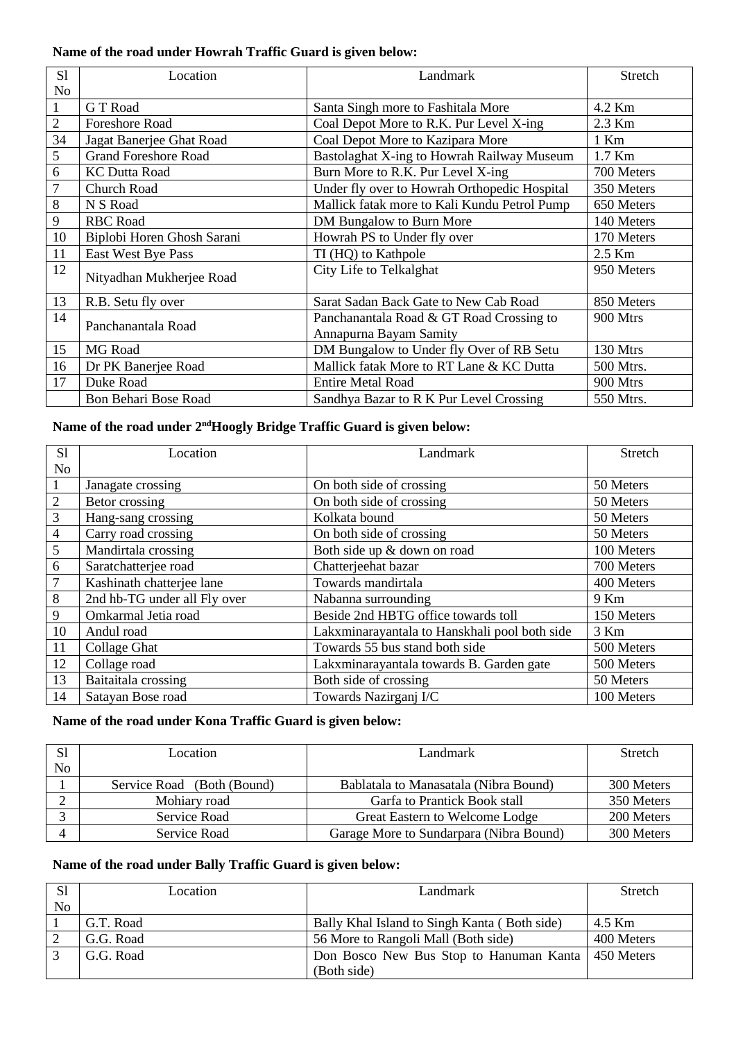# **Name of the road under Howrah Traffic Guard is given below:**

| S <sub>1</sub> | Location                    | Landmark                                     | Stretch    |
|----------------|-----------------------------|----------------------------------------------|------------|
| N <sub>o</sub> |                             |                                              |            |
| $\mathbf{1}$   | <b>GT</b> Road              | Santa Singh more to Fashitala More           | 4.2 Km     |
| $\overline{2}$ | <b>Foreshore Road</b>       | Coal Depot More to R.K. Pur Level X-ing      | 2.3 Km     |
| 34             | Jagat Banerjee Ghat Road    | Coal Depot More to Kazipara More             | $1$ Km     |
| 5              | <b>Grand Foreshore Road</b> | Bastolaghat X-ing to Howrah Railway Museum   | 1.7 Km     |
| 6              | <b>KC Dutta Road</b>        | Burn More to R.K. Pur Level X-ing            | 700 Meters |
| 7              | <b>Church Road</b>          | Under fly over to Howrah Orthopedic Hospital | 350 Meters |
| 8              | N S Road                    | Mallick fatak more to Kali Kundu Petrol Pump | 650 Meters |
| 9              | <b>RBC</b> Road             | DM Bungalow to Burn More                     | 140 Meters |
| 10             | Biplobi Horen Ghosh Sarani  | Howrah PS to Under fly over                  | 170 Meters |
| 11             | East West Bye Pass          | TI (HQ) to Kathpole                          | 2.5 Km     |
| 12             | Nityadhan Mukherjee Road    | City Life to Telkalghat                      | 950 Meters |
| 13             | R.B. Setu fly over          | Sarat Sadan Back Gate to New Cab Road        | 850 Meters |
| 14             | Panchanantala Road          | Panchanantala Road & GT Road Crossing to     | 900 Mtrs   |
|                |                             | Annapurna Bayam Samity                       |            |
| 15             | MG Road                     | DM Bungalow to Under fly Over of RB Setu     | 130 Mtrs   |
| 16             | Dr PK Banerjee Road         | Mallick fatak More to RT Lane & KC Dutta     | 500 Mtrs.  |
| 17             | Duke Road                   | <b>Entire Metal Road</b>                     | 900 Mtrs   |
|                | Bon Behari Bose Road        | Sandhya Bazar to R K Pur Level Crossing      | 550 Mtrs.  |

### Name of the road under 2<sup>nd</sup>Hoogly Bridge Traffic Guard is given below:

| S <sub>1</sub>  | Location                     | Landmark                                      | Stretch    |
|-----------------|------------------------------|-----------------------------------------------|------------|
| N <sub>o</sub>  |                              |                                               |            |
|                 | Janagate crossing            | On both side of crossing                      | 50 Meters  |
| 2               | Betor crossing               | On both side of crossing                      | 50 Meters  |
| $\mathfrak{Z}$  | Hang-sang crossing           | Kolkata bound                                 | 50 Meters  |
| $\overline{4}$  | Carry road crossing          | On both side of crossing                      | 50 Meters  |
| $5\overline{)}$ | Mandirtala crossing          | Both side up & down on road                   | 100 Meters |
| 6               | Saratchatterjee road         | Chatterjeehat bazar                           | 700 Meters |
| $\overline{7}$  | Kashinath chatterjee lane    | Towards mandirtala                            | 400 Meters |
| $8\phantom{.}$  | 2nd hb-TG under all Fly over | Nabanna surrounding                           | 9 Km       |
| 9               | Omkarmal Jetia road          | Beside 2nd HBTG office towards toll           | 150 Meters |
| 10              | Andul road                   | Lakxminarayantala to Hanskhali pool both side | 3 Km       |
| 11              | Collage Ghat                 | Towards 55 bus stand both side                | 500 Meters |
| 12              | Collage road                 | Lakxminarayantala towards B. Garden gate      | 500 Meters |
| 13              | Baitaitala crossing          | Both side of crossing                         | 50 Meters  |
| 14              | Satayan Bose road            | Towards Nazirganj I/C                         | 100 Meters |

## **Name of the road under Kona Traffic Guard is given below:**

| S1 | Location                   | Landmark                                | Stretch    |
|----|----------------------------|-----------------------------------------|------------|
| No |                            |                                         |            |
|    | Service Road (Both (Bound) | Bablatala to Manasatala (Nibra Bound)   | 300 Meters |
|    | Mohiary road               | Garfa to Prantick Book stall            | 350 Meters |
|    | Service Road               | Great Eastern to Welcome Lodge          | 200 Meters |
|    | Service Road               | Garage More to Sundarpara (Nibra Bound) | 300 Meters |

# **Name of the road under Bally Traffic Guard is given below:**

| S1 | Location  | Landmark-                                    | Stretch    |
|----|-----------|----------------------------------------------|------------|
| No |           |                                              |            |
|    | G.T. Road | Bally Khal Island to Singh Kanta (Both side) | 4.5 Km     |
|    | G.G. Road | 56 More to Rangoli Mall (Both side)          | 400 Meters |
|    | G.G. Road | Don Bosco New Bus Stop to Hanuman Kanta      | 450 Meters |
|    |           | (Both side)                                  |            |